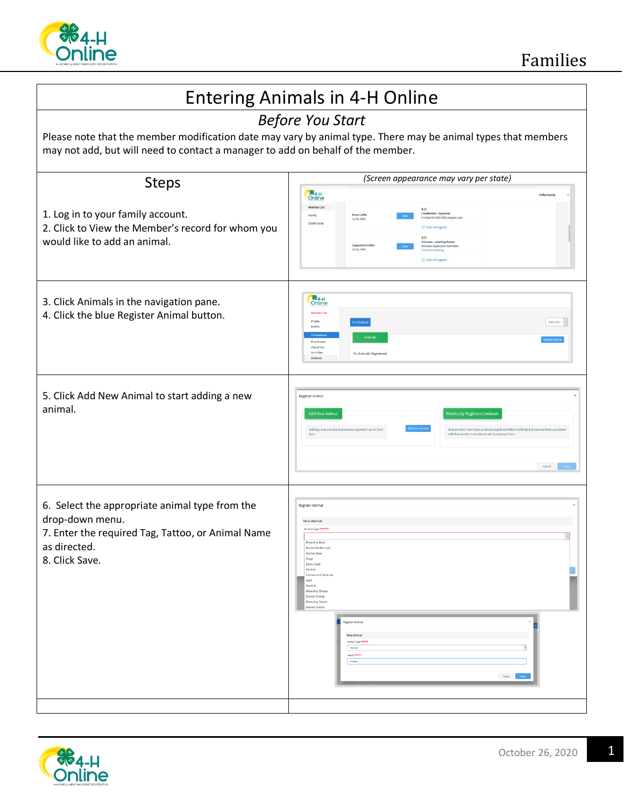

## Entering Animals in 4-H Online *Before You Start* Please note that the member modification date may vary by animal type. There may be animal types that members may not add, but will need to contact a manager to add on behalf of the member. *(Screen appearance may vary per state)* Steps **864-H**<br>Online 1. Log in to your family account. 2. Click to View the Member's record for whom you would like to add an animal. **Online** 3. Click Animals in the navigation pane. 4. Click the blue Register Animal button. 2020-2021  $\sim$ 5. Click Add New Animal to start adding a new **Register Animal** animal. 6. Select the appropriate animal type from the .<br>Register Anima drop-down menu. 7. Enter the required Tag, Tattoo, or Animal Name as directed. 8. Click Save.